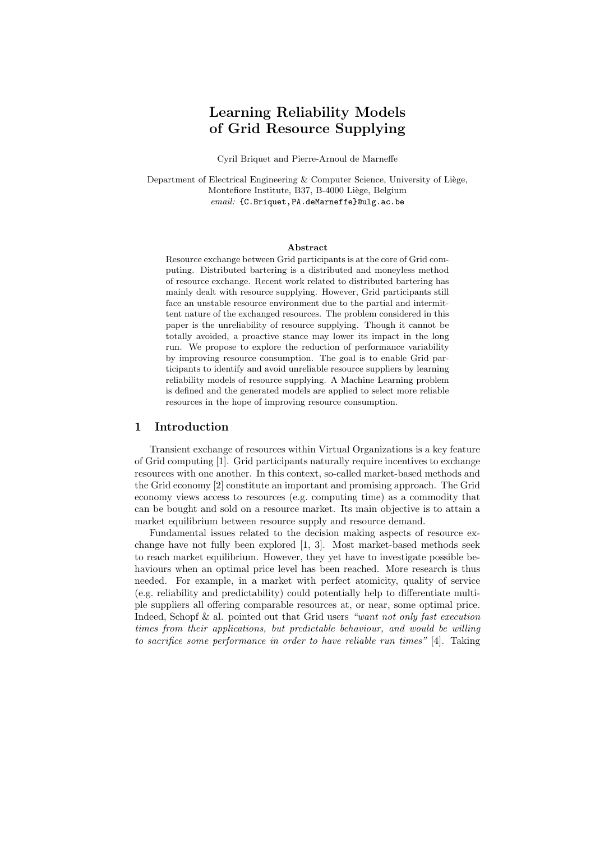# Learning Reliability Models of Grid Resource Supplying

Cyril Briquet and Pierre-Arnoul de Marneffe

Department of Electrical Engineering  $&$  Computer Science, University of Liège, Montefiore Institute, B37, B-4000 Liège, Belgium email: {C.Briquet, PA.deMarneffe}@ulg.ac.be

#### Abstract

Resource exchange between Grid participants is at the core of Grid computing. Distributed bartering is a distributed and moneyless method of resource exchange. Recent work related to distributed bartering has mainly dealt with resource supplying. However, Grid participants still face an unstable resource environment due to the partial and intermittent nature of the exchanged resources. The problem considered in this paper is the unreliability of resource supplying. Though it cannot be totally avoided, a proactive stance may lower its impact in the long run. We propose to explore the reduction of performance variability by improving resource consumption. The goal is to enable Grid participants to identify and avoid unreliable resource suppliers by learning reliability models of resource supplying. A Machine Learning problem is defined and the generated models are applied to select more reliable resources in the hope of improving resource consumption.

#### 1 Introduction

Transient exchange of resources within Virtual Organizations is a key feature of Grid computing [1]. Grid participants naturally require incentives to exchange resources with one another. In this context, so-called market-based methods and the Grid economy [2] constitute an important and promising approach. The Grid economy views access to resources (e.g. computing time) as a commodity that can be bought and sold on a resource market. Its main objective is to attain a market equilibrium between resource supply and resource demand.

Fundamental issues related to the decision making aspects of resource exchange have not fully been explored [1, 3]. Most market-based methods seek to reach market equilibrium. However, they yet have to investigate possible behaviours when an optimal price level has been reached. More research is thus needed. For example, in a market with perfect atomicity, quality of service (e.g. reliability and predictability) could potentially help to differentiate multiple suppliers all offering comparable resources at, or near, some optimal price. Indeed, Schopf & al. pointed out that Grid users "want not only fast execution" times from their applications, but predictable behaviour, and would be willing to sacrifice some performance in order to have reliable run times" [4]. Taking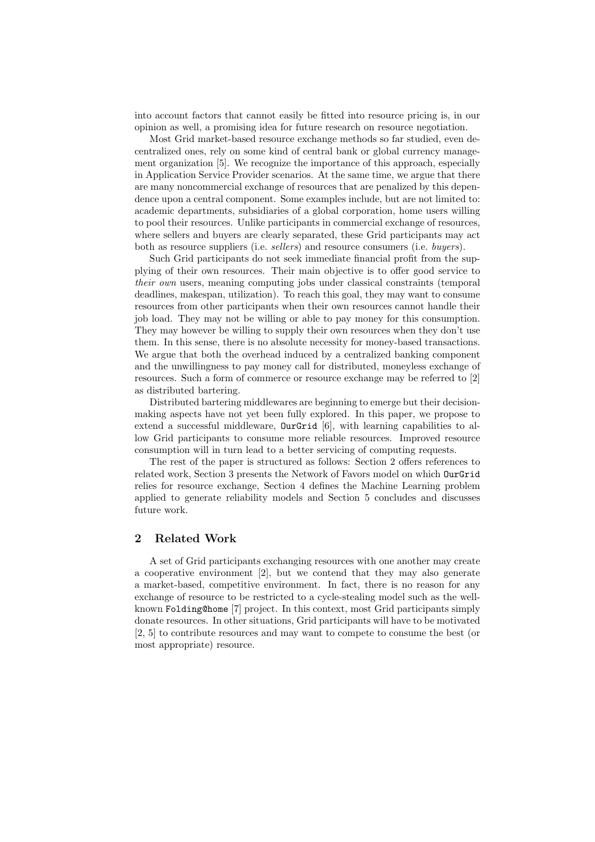into account factors that cannot easily be fitted into resource pricing is, in our opinion as well, a promising idea for future research on resource negotiation.

Most Grid market-based resource exchange methods so far studied, even decentralized ones, rely on some kind of central bank or global currency management organization [5]. We recognize the importance of this approach, especially in Application Service Provider scenarios. At the same time, we argue that there are many noncommercial exchange of resources that are penalized by this dependence upon a central component. Some examples include, but are not limited to: academic departments, subsidiaries of a global corporation, home users willing to pool their resources. Unlike participants in commercial exchange of resources, where sellers and buyers are clearly separated, these Grid participants may act both as resource suppliers (i.e. *sellers*) and resource consumers (i.e. *buyers*).

Such Grid participants do not seek immediate financial profit from the supplying of their own resources. Their main objective is to offer good service to their own users, meaning computing jobs under classical constraints (temporal deadlines, makespan, utilization). To reach this goal, they may want to consume resources from other participants when their own resources cannot handle their job load. They may not be willing or able to pay money for this consumption. They may however be willing to supply their own resources when they don't use them. In this sense, there is no absolute necessity for money-based transactions. We argue that both the overhead induced by a centralized banking component and the unwillingness to pay money call for distributed, moneyless exchange of resources. Such a form of commerce or resource exchange may be referred to [2] as distributed bartering.

Distributed bartering middlewares are beginning to emerge but their decisionmaking aspects have not yet been fully explored. In this paper, we propose to extend a successful middleware, OurGrid [6], with learning capabilities to allow Grid participants to consume more reliable resources. Improved resource consumption will in turn lead to a better servicing of computing requests.

The rest of the paper is structured as follows: Section 2 offers references to related work, Section 3 presents the Network of Favors model on which OurGrid relies for resource exchange, Section 4 defines the Machine Learning problem applied to generate reliability models and Section 5 concludes and discusses future work.

# 2 Related Work

A set of Grid participants exchanging resources with one another may create a cooperative environment [2], but we contend that they may also generate a market-based, competitive environment. In fact, there is no reason for any exchange of resource to be restricted to a cycle-stealing model such as the wellknown Folding@home [7] project. In this context, most Grid participants simply donate resources. In other situations, Grid participants will have to be motivated [2, 5] to contribute resources and may want to compete to consume the best (or most appropriate) resource.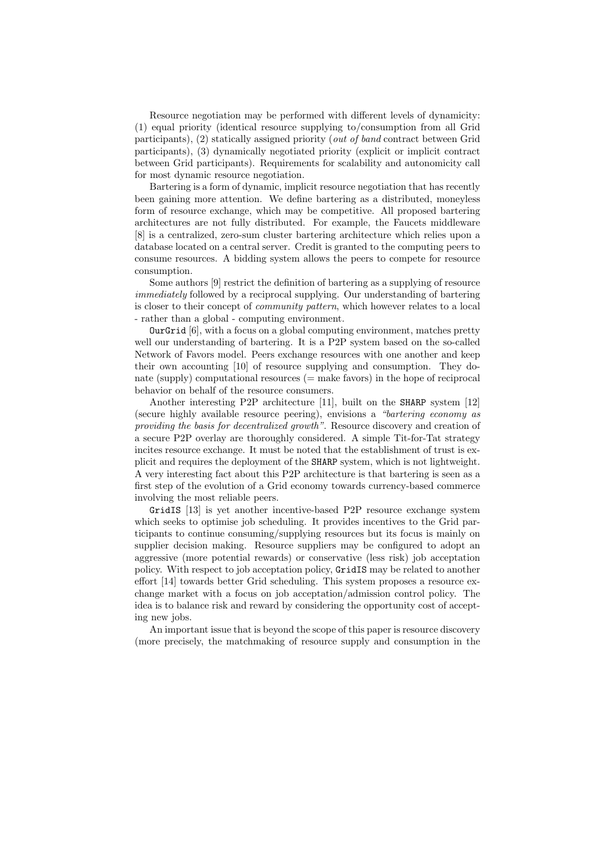Resource negotiation may be performed with different levels of dynamicity: (1) equal priority (identical resource supplying to/consumption from all Grid participants), (2) statically assigned priority (out of band contract between Grid participants), (3) dynamically negotiated priority (explicit or implicit contract between Grid participants). Requirements for scalability and autonomicity call for most dynamic resource negotiation.

Bartering is a form of dynamic, implicit resource negotiation that has recently been gaining more attention. We define bartering as a distributed, moneyless form of resource exchange, which may be competitive. All proposed bartering architectures are not fully distributed. For example, the Faucets middleware [8] is a centralized, zero-sum cluster bartering architecture which relies upon a database located on a central server. Credit is granted to the computing peers to consume resources. A bidding system allows the peers to compete for resource consumption.

Some authors [9] restrict the definition of bartering as a supplying of resource immediately followed by a reciprocal supplying. Our understanding of bartering is closer to their concept of community pattern, which however relates to a local - rather than a global - computing environment.

OurGrid [6], with a focus on a global computing environment, matches pretty well our understanding of bartering. It is a P2P system based on the so-called Network of Favors model. Peers exchange resources with one another and keep their own accounting [10] of resource supplying and consumption. They donate (supply) computational resources  $(=$  make favors) in the hope of reciprocal behavior on behalf of the resource consumers.

Another interesting P2P architecture [11], built on the SHARP system [12] (secure highly available resource peering), envisions a "bartering economy as providing the basis for decentralized growth". Resource discovery and creation of a secure P2P overlay are thoroughly considered. A simple Tit-for-Tat strategy incites resource exchange. It must be noted that the establishment of trust is explicit and requires the deployment of the SHARP system, which is not lightweight. A very interesting fact about this P2P architecture is that bartering is seen as a first step of the evolution of a Grid economy towards currency-based commerce involving the most reliable peers.

GridIS [13] is yet another incentive-based P2P resource exchange system which seeks to optimise job scheduling. It provides incentives to the Grid participants to continue consuming/supplying resources but its focus is mainly on supplier decision making. Resource suppliers may be configured to adopt an aggressive (more potential rewards) or conservative (less risk) job acceptation policy. With respect to job acceptation policy, GridIS may be related to another effort [14] towards better Grid scheduling. This system proposes a resource exchange market with a focus on job acceptation/admission control policy. The idea is to balance risk and reward by considering the opportunity cost of accepting new jobs.

An important issue that is beyond the scope of this paper is resource discovery (more precisely, the matchmaking of resource supply and consumption in the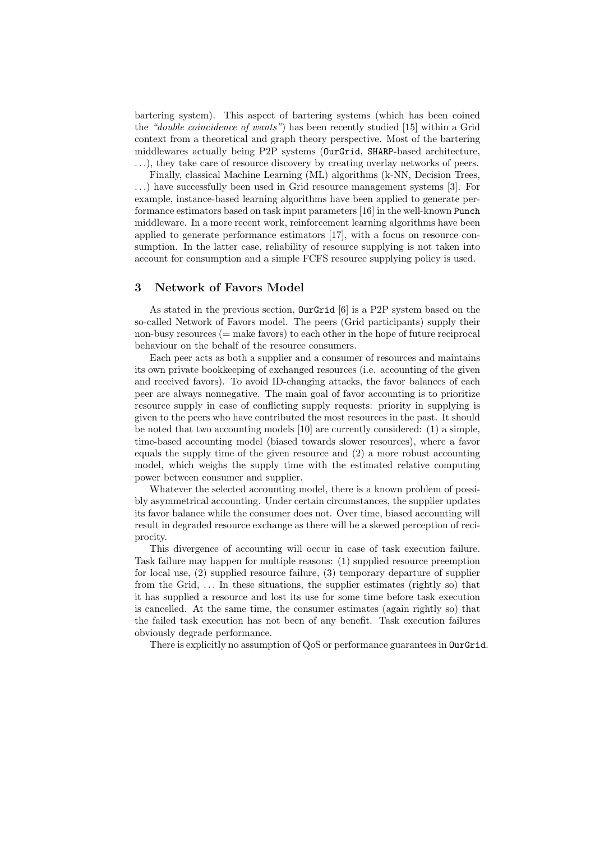bartering system). This aspect of bartering systems (which has been coined the "double coincidence of wants") has been recently studied [15] within a Grid context from a theoretical and graph theory perspective. Most of the bartering middlewares actually being P2P systems (OurGrid, SHARP-based architecture, . . .), they take care of resource discovery by creating overlay networks of peers.

Finally, classical Machine Learning (ML) algorithms (k-NN, Decision Trees, . . .) have successfully been used in Grid resource management systems [3]. For example, instance-based learning algorithms have been applied to generate performance estimators based on task input parameters [16] in the well-known Punch middleware. In a more recent work, reinforcement learning algorithms have been applied to generate performance estimators [17], with a focus on resource consumption. In the latter case, reliability of resource supplying is not taken into account for consumption and a simple FCFS resource supplying policy is used.

## 3 Network of Favors Model

As stated in the previous section, OurGrid [6] is a P2P system based on the so-called Network of Favors model. The peers (Grid participants) supply their non-busy resources (= make favors) to each other in the hope of future reciprocal behaviour on the behalf of the resource consumers.

Each peer acts as both a supplier and a consumer of resources and maintains its own private bookkeeping of exchanged resources (i.e. accounting of the given and received favors). To avoid ID-changing attacks, the favor balances of each peer are always nonnegative. The main goal of favor accounting is to prioritize resource supply in case of conflicting supply requests: priority in supplying is given to the peers who have contributed the most resources in the past. It should be noted that two accounting models [10] are currently considered: (1) a simple, time-based accounting model (biased towards slower resources), where a favor equals the supply time of the given resource and (2) a more robust accounting model, which weighs the supply time with the estimated relative computing power between consumer and supplier.

Whatever the selected accounting model, there is a known problem of possibly asymmetrical accounting. Under certain circumstances, the supplier updates its favor balance while the consumer does not. Over time, biased accounting will result in degraded resource exchange as there will be a skewed perception of reciprocity.

This divergence of accounting will occur in case of task execution failure. Task failure may happen for multiple reasons: (1) supplied resource preemption for local use, (2) supplied resource failure, (3) temporary departure of supplier from the Grid, ... In these situations, the supplier estimates (rightly so) that it has supplied a resource and lost its use for some time before task execution is cancelled. At the same time, the consumer estimates (again rightly so) that the failed task execution has not been of any benefit. Task execution failures obviously degrade performance.

There is explicitly no assumption of QoS or performance guarantees in **OurGrid**.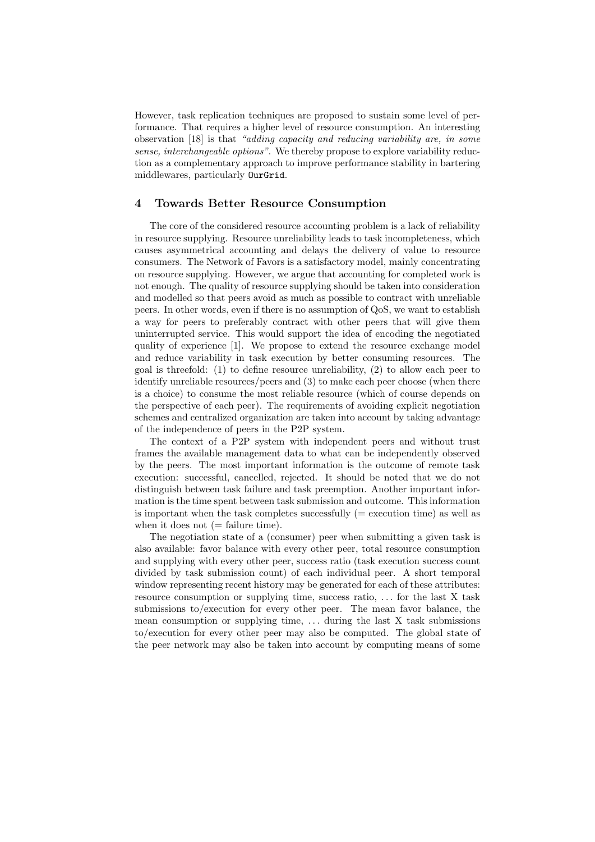However, task replication techniques are proposed to sustain some level of performance. That requires a higher level of resource consumption. An interesting observation [18] is that "adding capacity and reducing variability are, in some sense, interchangeable options". We thereby propose to explore variability reduction as a complementary approach to improve performance stability in bartering middlewares, particularly OurGrid.

# 4 Towards Better Resource Consumption

The core of the considered resource accounting problem is a lack of reliability in resource supplying. Resource unreliability leads to task incompleteness, which causes asymmetrical accounting and delays the delivery of value to resource consumers. The Network of Favors is a satisfactory model, mainly concentrating on resource supplying. However, we argue that accounting for completed work is not enough. The quality of resource supplying should be taken into consideration and modelled so that peers avoid as much as possible to contract with unreliable peers. In other words, even if there is no assumption of QoS, we want to establish a way for peers to preferably contract with other peers that will give them uninterrupted service. This would support the idea of encoding the negotiated quality of experience [1]. We propose to extend the resource exchange model and reduce variability in task execution by better consuming resources. The goal is threefold: (1) to define resource unreliability, (2) to allow each peer to identify unreliable resources/peers and (3) to make each peer choose (when there is a choice) to consume the most reliable resource (which of course depends on the perspective of each peer). The requirements of avoiding explicit negotiation schemes and centralized organization are taken into account by taking advantage of the independence of peers in the P2P system.

The context of a P2P system with independent peers and without trust frames the available management data to what can be independently observed by the peers. The most important information is the outcome of remote task execution: successful, cancelled, rejected. It should be noted that we do not distinguish between task failure and task preemption. Another important information is the time spent between task submission and outcome. This information is important when the task completes successfully ( $=$  execution time) as well as when it does not  $(=\text{failure time}).$ 

The negotiation state of a (consumer) peer when submitting a given task is also available: favor balance with every other peer, total resource consumption and supplying with every other peer, success ratio (task execution success count divided by task submission count) of each individual peer. A short temporal window representing recent history may be generated for each of these attributes: resource consumption or supplying time, success ratio, . . . for the last X task submissions to/execution for every other peer. The mean favor balance, the mean consumption or supplying time,  $\dots$  during the last X task submissions to/execution for every other peer may also be computed. The global state of the peer network may also be taken into account by computing means of some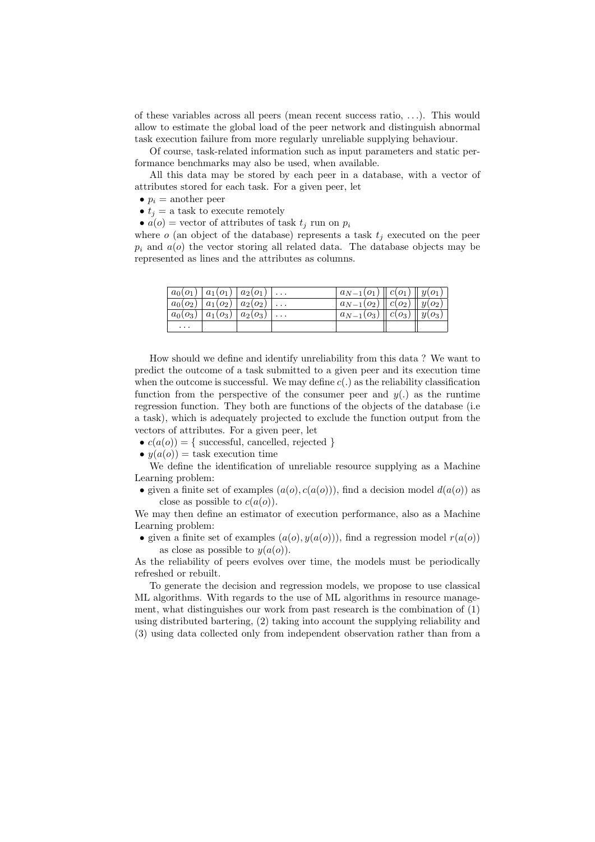of these variables across all peers (mean recent success ratio, . . .). This would allow to estimate the global load of the peer network and distinguish abnormal task execution failure from more regularly unreliable supplying behaviour.

Of course, task-related information such as input parameters and static performance benchmarks may also be used, when available.

All this data may be stored by each peer in a database, with a vector of attributes stored for each task. For a given peer, let

- $p_i$  = another peer
- $t_j =$  a task to execute remotely

•  $a(o)$  = vector of attributes of task  $t_j$  run on  $p_i$ 

where  $o$  (an object of the database) represents a task  $t_i$  executed on the peer  $p_i$  and  $a(o)$  the vector storing all related data. The database objects may be represented as lines and the attributes as columns.

| $a_0(o_1)$      | $ a_1(o_1)  a_2(o_1)$ |            | $\cdots$ | $a_{N-1}(o_1)$ | $\ c(o_1)\ y(o_1)$   |              |
|-----------------|-----------------------|------------|----------|----------------|----------------------|--------------|
| $a_0(o_2)$      | $+a_1(o_2)$           | $a_2(o_2)$ | $\cdots$ | $a_{N-1}(o_2)$ | $\parallel$ $c(o_2)$ | $  y(o_2)  $ |
| $a_0$ ( $o_3$ ) | $a_1(o_3)$            | $a_2(o_3)$ | $\cdots$ | $a_{N-1}(o_3)$ | $c(o_3)$             | $y(o_3)$     |
| $\cdots$        |                       |            |          |                |                      |              |

How should we define and identify unreliability from this data ? We want to predict the outcome of a task submitted to a given peer and its execution time when the outcome is successful. We may define  $c(.)$  as the reliability classification function from the perspective of the consumer peer and  $y(.)$  as the runtime regression function. They both are functions of the objects of the database (i.e a task), which is adequately projected to exclude the function output from the vectors of attributes. For a given peer, let

- $c(a(o)) = \{$  successful, cancelled, rejected  $\}$
- $y(a(o)) =$  task execution time

We define the identification of unreliable resource supplying as a Machine Learning problem:

• given a finite set of examples  $(a(o), c(a(o)))$ , find a decision model  $d(a(o))$  as close as possible to  $c(a(o))$ .

We may then define an estimator of execution performance, also as a Machine Learning problem:

• given a finite set of examples  $(a(o), y(a(o)))$ , find a regression model  $r(a(o))$ as close as possible to  $y(a(o))$ .

As the reliability of peers evolves over time, the models must be periodically refreshed or rebuilt.

To generate the decision and regression models, we propose to use classical ML algorithms. With regards to the use of ML algorithms in resource management, what distinguishes our work from past research is the combination of (1) using distributed bartering, (2) taking into account the supplying reliability and (3) using data collected only from independent observation rather than from a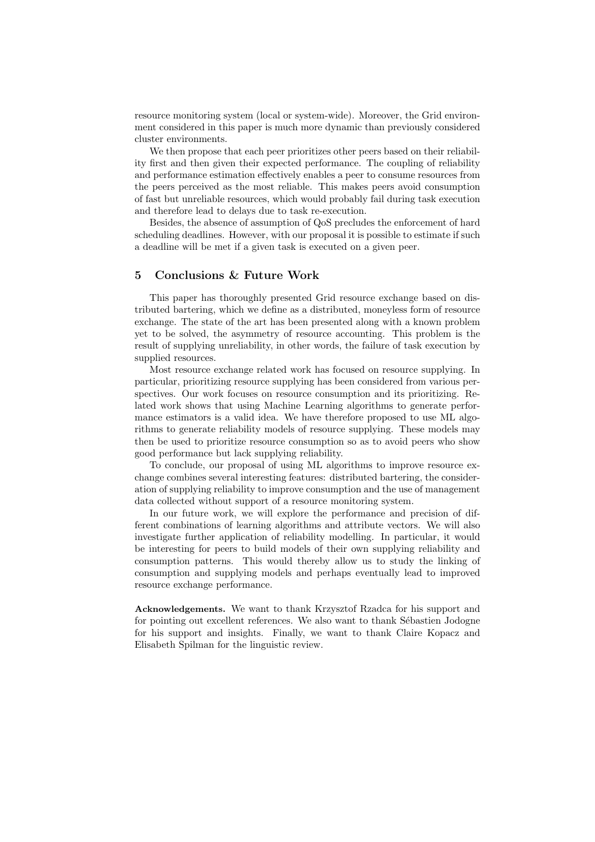resource monitoring system (local or system-wide). Moreover, the Grid environment considered in this paper is much more dynamic than previously considered cluster environments.

We then propose that each peer prioritizes other peers based on their reliability first and then given their expected performance. The coupling of reliability and performance estimation effectively enables a peer to consume resources from the peers perceived as the most reliable. This makes peers avoid consumption of fast but unreliable resources, which would probably fail during task execution and therefore lead to delays due to task re-execution.

Besides, the absence of assumption of QoS precludes the enforcement of hard scheduling deadlines. However, with our proposal it is possible to estimate if such a deadline will be met if a given task is executed on a given peer.

# 5 Conclusions & Future Work

This paper has thoroughly presented Grid resource exchange based on distributed bartering, which we define as a distributed, moneyless form of resource exchange. The state of the art has been presented along with a known problem yet to be solved, the asymmetry of resource accounting. This problem is the result of supplying unreliability, in other words, the failure of task execution by supplied resources.

Most resource exchange related work has focused on resource supplying. In particular, prioritizing resource supplying has been considered from various perspectives. Our work focuses on resource consumption and its prioritizing. Related work shows that using Machine Learning algorithms to generate performance estimators is a valid idea. We have therefore proposed to use ML algorithms to generate reliability models of resource supplying. These models may then be used to prioritize resource consumption so as to avoid peers who show good performance but lack supplying reliability.

To conclude, our proposal of using ML algorithms to improve resource exchange combines several interesting features: distributed bartering, the consideration of supplying reliability to improve consumption and the use of management data collected without support of a resource monitoring system.

In our future work, we will explore the performance and precision of different combinations of learning algorithms and attribute vectors. We will also investigate further application of reliability modelling. In particular, it would be interesting for peers to build models of their own supplying reliability and consumption patterns. This would thereby allow us to study the linking of consumption and supplying models and perhaps eventually lead to improved resource exchange performance.

Acknowledgements. We want to thank Krzysztof Rzadca for his support and for pointing out excellent references. We also want to thank Sébastien Jodogne for his support and insights. Finally, we want to thank Claire Kopacz and Elisabeth Spilman for the linguistic review.